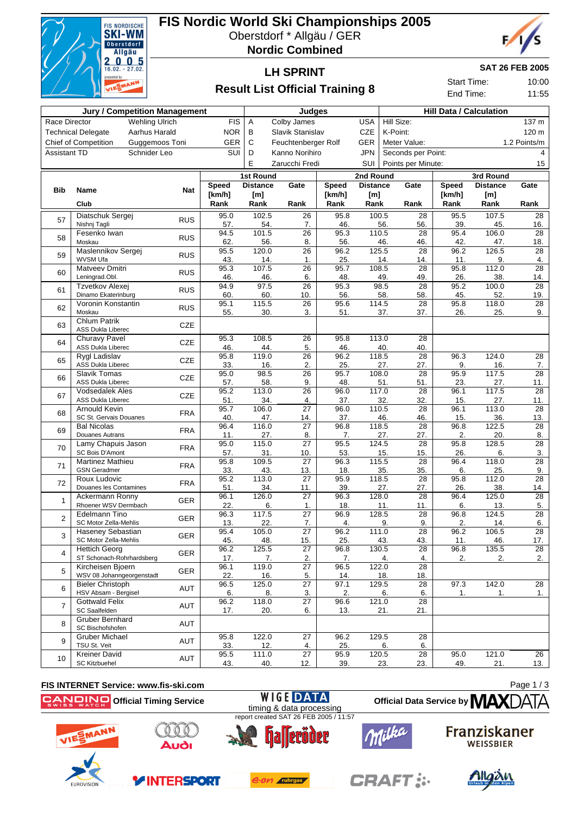

## **FIS Nordic World Ski Championships 2005**

Oberstdorf \* Allgäu / GER

**Nordic Combined**



#### **LH SPRINT**

**SAT 26 FEB 2005**

Start Time: 10:00 End Time: 11:55

### **Result List Official Training 8**

|                     |                                                      | <b>Jury / Competition Management</b><br>Judges<br><b>Hill Data / Calculation</b> |                        |                 |                       |                |                 |                    |                        |                |                 |                       |
|---------------------|------------------------------------------------------|----------------------------------------------------------------------------------|------------------------|-----------------|-----------------------|----------------|-----------------|--------------------|------------------------|----------------|-----------------|-----------------------|
| Race Director       |                                                      | <b>Wehling Ulrich</b>                                                            | <b>FIS</b>             | Α               | Colby James           |                | <b>USA</b>      | Hill Size:         |                        |                |                 | 137 m                 |
|                     | <b>Technical Delegate</b>                            | Aarhus Harald                                                                    | <b>NOR</b>             | B               | Slavik Stanislav      |                | <b>CZE</b>      | K-Point:           |                        |                |                 | 120 m                 |
|                     | <b>Chief of Competition</b>                          | Guggemoos Toni                                                                   | GER                    | С               | Feuchtenberger Rolf   |                | GER             |                    | Meter Value:           |                |                 | 1.2 Points/m          |
| <b>Assistant TD</b> |                                                      | Schnider Leo                                                                     | SUI                    | D               | Kanno Norihiro        |                | <b>JPN</b>      |                    | Seconds per Point:     |                |                 | 4                     |
|                     |                                                      |                                                                                  |                        | E               | Zarucchi Fredi        |                | SUI             |                    |                        |                |                 | 15                    |
|                     |                                                      |                                                                                  |                        |                 |                       |                |                 | Points per Minute: |                        |                |                 |                       |
|                     |                                                      |                                                                                  |                        | 1st Round       |                       |                | 2nd Round       |                    |                        |                | 3rd Round       |                       |
| <b>Bib</b>          | Name                                                 | Nat                                                                              | <b>Speed</b><br>[km/h] | <b>Distance</b> | Gate                  | <b>Speed</b>   | <b>Distance</b> |                    | Gate                   | Speed          | <b>Distance</b> | Gate                  |
|                     | Club                                                 |                                                                                  | Rank                   | [m]<br>Rank     | Rank                  | [km/h]<br>Rank | [m]<br>Rank     |                    | Rank                   | [km/h]<br>Rank | [m]<br>Rank     | Rank                  |
|                     |                                                      |                                                                                  |                        |                 |                       |                |                 |                    |                        |                |                 |                       |
| 57                  | Diatschuk Sergej<br>Nishnj Tagli                     | <b>RUS</b>                                                                       | 95.0<br>57.            | 102.5<br>54.    | 26<br>7.              | 95.8<br>46.    |                 | 100.5<br>56.       | 28<br>56.              | 95.5<br>39.    | 107.5<br>45.    | 28<br>16.             |
|                     | Fesenko Iwan                                         |                                                                                  | 94.5                   | 101.5           | $\overline{26}$       | 95.3           |                 | 110.5              | $\overline{28}$        | 95.4           | 106.0           | $\overline{28}$       |
| 58                  | Moskau                                               | <b>RUS</b>                                                                       | 62.                    | 56.             | 8.                    | 56.            |                 | 46.                | 46.                    | 42.            | 47.             | 18.                   |
|                     | Maslennikov Sergej                                   | <b>RUS</b>                                                                       | 95.5                   | 120.0           | $\overline{26}$       | 96.2           |                 | 125.5              | 28                     | 96.2           | 126.5           | 28                    |
| 59                  | WVSM Ufa                                             |                                                                                  | 43.                    | 14.             | 1.                    | 25.            |                 | 14.                | 14.                    | 11.            | 9.              | 4.                    |
| 60                  | Matveev Dmitri                                       | <b>RUS</b>                                                                       | 95.3                   | 107.5           | $\overline{26}$       | 95.7           |                 | 108.5              | $\overline{28}$        | 95.8           | 112.0           | 28                    |
|                     | Leningrad.Obl.                                       |                                                                                  | 46.                    | 46.             | 6.                    | 48.            |                 | 49.                | 49.                    | 26.            | 38.             | 14.                   |
| 61                  | Tzvetkov Alexej<br>Dinamo Ekaterinburg               | <b>RUS</b>                                                                       | 94.9                   | 97.5            | 26                    | 95.3           |                 | 98.5               | 28                     | 95.2           | 100.0           | $\overline{28}$       |
|                     | Voronin Konstantin                                   |                                                                                  | 60.<br>95.1            | 60.<br>115.5    | 10.<br>26             | 56.<br>95.6    |                 | 58.<br>114.5       | 58.<br>28              | 45.<br>95.8    | 52.<br>118.0    | 19.<br>28             |
| 62                  | Moskau                                               | <b>RUS</b>                                                                       | 55.                    | 30.             | 3.                    | 51.            |                 | 37.                | 37.                    | 26.            | 25.             | 9.                    |
| 63                  | <b>Chlum Patrik</b><br><b>ASS Dukla Liberec</b>      | CZE                                                                              |                        |                 |                       |                |                 |                    |                        |                |                 |                       |
|                     | Churavy Pavel                                        |                                                                                  | 95.3                   | 108.5           | 26                    | 95.8           |                 | 113.0              | 28                     |                |                 |                       |
| 64                  | <b>ASS Dukla Liberec</b>                             | <b>CZE</b>                                                                       | 46.                    | 44.             | 5.                    | 46.            |                 | 40.                | 40.                    |                |                 |                       |
| 65                  | <b>Rygl Ladislav</b>                                 | CZE                                                                              | 95.8                   | 119.0           | $\overline{26}$       | 96.2           |                 | 118.5              | $\overline{28}$        | 96.3           | 124.0           | $\overline{28}$       |
|                     | <b>ASS Dukla Liberec</b>                             |                                                                                  | 33.                    | 16.             | 2.                    | 25.            |                 | 27.                | 27.                    | 9.             | 16.             | 7.                    |
| 66                  | Slavik Tomas<br><b>ASS Dukla Liberec</b>             | CZE                                                                              | 95.0<br>57.            | 98.5<br>58.     | $\overline{26}$       | 95.7<br>48.    |                 | 108.0              | $\overline{28}$        | 95.9<br>23.    | 117.5           | $\overline{28}$       |
|                     | <b>Vodsedalek Ales</b>                               |                                                                                  | 95.2                   | 113.0           | 9.<br>$\overline{26}$ | 96.0           |                 | 51.<br>117.0       | 51.<br>$\overline{28}$ | 96.1           | 27.<br>117.5    | 11.<br>28             |
| 67                  | <b>ASS Dukla Liberec</b>                             | <b>CZE</b>                                                                       | 51.                    | 34.             | 4.                    | 37.            |                 | 32.                | 32.                    | 15.            | 27.             | 11.                   |
| 68                  | Arnould Kevin                                        | <b>FRA</b>                                                                       | 95.7                   | 106.0           | $\overline{27}$       | 96.0           |                 | 110.5              | 28                     | 96.1           | 113.0           | $\overline{28}$       |
|                     | SC St. Gervais Douanes                               |                                                                                  | 40.                    | 47.             | 14.                   | 37.            |                 | 46.                | 46.                    | 15.            | 36.             | 13.                   |
| 69                  | <b>Bal Nicolas</b>                                   | <b>FRA</b>                                                                       | 96.4                   | 116.0           | $\overline{27}$       | 96.8           |                 | 118.5              | 28                     | 96.8           | 122.5           | 28                    |
|                     | Douanes Autrans<br>Lamy Chapuis Jason                |                                                                                  | 11.<br>95.0            | 27.<br>115.0    | 8.<br>$\overline{27}$ | 7.<br>95.5     |                 | 27.<br>124.5       | 27.<br>28              | 2.<br>95.8     | 20.<br>128.5    | 8.<br>$\overline{28}$ |
| 70                  | SC Bois D'Amont                                      | <b>FRA</b>                                                                       | 57.                    | 31.             | 10.                   | 53.            |                 | 15.                | 15.                    | 26.            | 6.              | 3.                    |
|                     | <b>Martinez Mathieu</b>                              |                                                                                  | 95.8                   | 109.5           | $\overline{27}$       | 96.3           |                 | 115.5              | 28                     | 96.4           | 118.0           | 28                    |
| 71                  | <b>GSN</b> Geradmer                                  | <b>FRA</b>                                                                       | 33.                    | 43.             | 13.                   | 18.            |                 | 35.                | 35.                    | 6.             | 25.             | 9.                    |
| 72                  | Roux Ludovic                                         | <b>FRA</b>                                                                       | 95.2                   | 113.0           | 27                    | 95.9           |                 | 118.5              | 28                     | 95.8           | 112.0           | $\overline{28}$       |
|                     | Douanes les Contamines                               |                                                                                  | 51.                    | 34.             | 11.                   | 39.            |                 | 27.                | 27.                    | 26.            | 38.             | 14.                   |
| 1                   | Ackermann Ronny                                      | <b>GER</b>                                                                       | 96.1                   | 126.0           | $\overline{27}$       | 96.3           |                 | 128.0              | $\overline{28}$        | 96.4           | 125.0           | $\overline{28}$       |
|                     | Rhoener WSV Dermbach                                 |                                                                                  | 22.                    | 6.              | 1.                    | 18.            |                 | 11.                | 11.                    | 6.             | 13.             | 5.                    |
| $\overline{2}$      | Edelmann Tino<br>SC Motor Zella-Mehlis               | <b>GER</b>                                                                       | 96.3<br>13.            | 117.5<br>22.    | $\overline{27}$<br>7. | 96.9<br>4.     |                 | 128.5<br>9.        | 28<br>9.               | 96.8<br>2.     | 124.5<br>14.    | 28<br>6.              |
|                     | Haseney Sebastian                                    |                                                                                  | 95.4                   | 105.0           | $\overline{27}$       | 96.2           |                 | 111.0              | $\overline{28}$        | 96.2           | 106.5           | $\overline{28}$       |
| 3                   | SC Motor Zella-Mehlis                                | <b>GER</b>                                                                       | 45.                    | 48.             | 15.                   | 25.            |                 | 43.                | 43.                    | 11.            | 46.             | 17.                   |
| 4                   | <b>Hettich Georg</b>                                 | <b>GER</b>                                                                       | 96.2                   | 125.5           | $\overline{27}$       | 96.8           |                 | 130.5              | 28                     | 96.8           | 135.5           | 28                    |
|                     | ST Schonach-Rohrhardsberg                            |                                                                                  | 17.                    | 7.              | 2.                    | 7.             |                 | 4.                 | 4.                     | 2.             | 2.              | 2.                    |
| 5                   | Kircheisen Bjoern                                    | GER                                                                              | 96.1                   | 119.0           | $\overline{27}$       | 96.5           |                 | 122.0              | $\overline{28}$        |                |                 |                       |
|                     | WSV 08 Johanngeorgenstadt<br><b>Bieler Christoph</b> |                                                                                  | 22.<br>96.5            | 16.<br>125.0    | 5.<br>$\overline{27}$ | 14.<br>97.1    |                 | 18.<br>129.5       | 18.<br>28              | 97.3           | 142.0           | $\overline{28}$       |
| 6                   | HSV Absam - Bergisel                                 | AUT                                                                              | 6.                     | 8.              | 3.                    | 2.             |                 | 6.                 | 6.                     | 1.             | 1.              | 1.                    |
|                     | <b>Gottwald Felix</b>                                |                                                                                  | 96.2                   | 118.0           | 27                    | 96.6           |                 | 121.0              | 28                     |                |                 |                       |
| $\overline{7}$      | SC Saalfelden                                        | <b>AUT</b>                                                                       | 17.                    | 20.             | 6.                    | 13.            |                 | 21.                | 21.                    |                |                 |                       |
| 8                   | <b>Gruber Bernhard</b>                               | <b>AUT</b>                                                                       |                        |                 |                       |                |                 |                    |                        |                |                 |                       |
|                     | SC Bischofshofen                                     |                                                                                  |                        |                 |                       |                |                 |                    |                        |                |                 |                       |
| 9                   | <b>Gruber Michael</b>                                | AUT                                                                              | 95.8                   | 122.0           | 27                    | 96.2           |                 | 129.5              | 28                     |                |                 |                       |
|                     | TSU St. Veit<br><b>Kreiner David</b>                 |                                                                                  | 33.<br>95.5            | 12.<br>111.0    | 4.<br>$\overline{27}$ | 25.<br>95.9    |                 | 6.<br>120.5        | 6.<br>$\overline{28}$  | 95.0           | 121.0           | $\overline{26}$       |
| 10                  | <b>SC Kitzbuehel</b>                                 | AUT                                                                              | 43.                    | 40.             | 12.                   | 39.            |                 | 23.                | 23.                    | 49.            | 21.             | 13.                   |
|                     |                                                      |                                                                                  |                        |                 |                       |                |                 |                    |                        |                |                 |                       |



**EUROVISIO** 

**INTERSPORT** 

Page 1/3



e.on ruhrgas

**CRAFT:**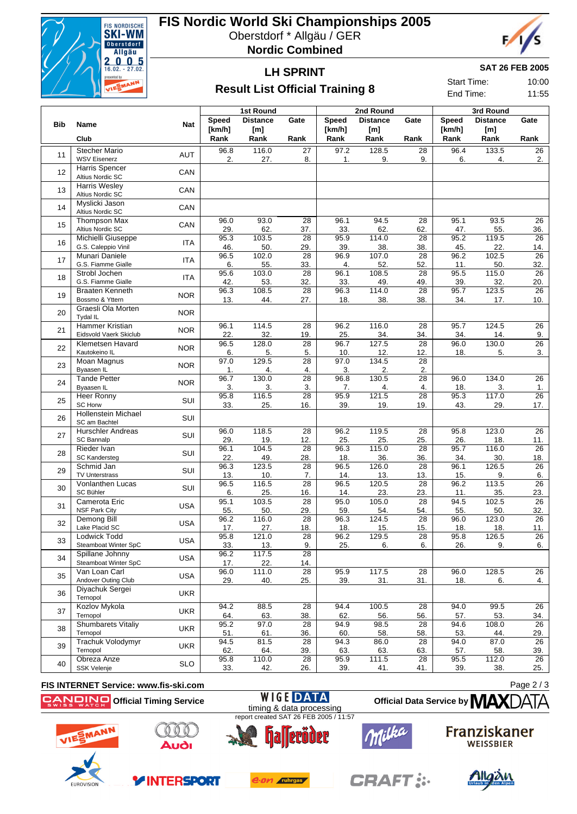

### **FIS Nordic World Ski Championships 2005**

Oberstdorf \* Allgäu / GER

**Nordic Combined**



#### **LH SPRINT Result List Official Training 8**

**SAT 26 FEB 2005**

Start Time: 10:00 End Time: 11:55

|            |                                                  |            |             | <b>1st Round</b>    |                        |             | 2nd Round       |                        | 3rd Round   |                 |                        |  |
|------------|--------------------------------------------------|------------|-------------|---------------------|------------------------|-------------|-----------------|------------------------|-------------|-----------------|------------------------|--|
| <b>Bib</b> |                                                  |            | Speed       | <b>Distance</b>     | Gate                   | Speed       | <b>Distance</b> | Gate                   | Speed       | <b>Distance</b> | Gate                   |  |
|            | Name                                             | Nat        | [km/h]      | [m]                 |                        | [km/h]      | [m]             |                        | [km/h]      | [m]             |                        |  |
|            | Club                                             |            | Rank        | Rank                | Rank                   | Rank        | Rank            | Rank                   | Rank        | Rank            | Rank                   |  |
| 11         | <b>Stecher Mario</b><br><b>WSV Eisenerz</b>      | <b>AUT</b> | 96.8<br>2.  | 116.0<br>27.        | 27<br>8.               | 97.2<br>1.  | 128.5<br>9.     | 28<br>9.               | 96.4<br>6.  | 133.5<br>4.     | 26<br>2.               |  |
| 12         | Harris Spencer                                   | CAN        |             |                     |                        |             |                 |                        |             |                 |                        |  |
|            | Altius Nordic SC                                 |            |             |                     |                        |             |                 |                        |             |                 |                        |  |
| 13         | <b>Harris Wesley</b><br>Altius Nordic SC         | CAN        |             |                     |                        |             |                 |                        |             |                 |                        |  |
| 14         | Myslicki Jason<br>Altius Nordic SC               | CAN        |             |                     |                        |             |                 |                        |             |                 |                        |  |
| 15         | <b>Thompson Max</b><br>Altius Nordic SC          | CAN        | 96.0<br>29. | 93.0<br>62.         | $\overline{28}$<br>37. | 96.1<br>33. | 94.5<br>62.     | 28<br>62.              | 95.1<br>47. | 93.5<br>55.     | $\overline{26}$<br>36. |  |
| 16         | Michielli Giuseppe                               | <b>ITA</b> | 95.3        | 103.5               | $\overline{28}$        | 95.9        | 114.0           | 28                     | 95.2        | 119.5           | 26                     |  |
|            | G.S. Caleppio Vinil<br>Munari Daniele            |            | 46.<br>96.5 | 50.<br>102.0        | 29.<br>$\overline{28}$ | 39.<br>96.9 | 38.<br>107.0    | 38.<br>28              | 45.<br>96.2 | 22.<br>102.5    | 14.<br>$\overline{26}$ |  |
| 17         | G.S. Fiamme Gialle                               | <b>ITA</b> | 6.          | 55.                 | 33.                    | 4.          | 52.             | 52.                    | 11.         | 50.             | 32.                    |  |
| 18         | Strobl Jochen<br>G.S. Fiamme Gialle              | <b>ITA</b> | 95.6<br>42. | 103.0<br>53.        | 28<br>32.              | 96.1<br>33. | 108.5<br>49.    | 28<br>49.              | 95.5<br>39. | 115.0<br>32.    | 26<br>20.              |  |
| 19         | <b>Braaten Kenneth</b>                           | <b>NOR</b> | 96.3        | 108.5               | $\overline{28}$        | 96.3        | 114.0           | 28                     | 95.7        | 123.5           | $\overline{26}$        |  |
|            | Bossmo & Yttern                                  |            | 13.         | 44.                 | 27.                    | 18.         | 38.             | 38.                    | 34.         | 17.             | 10.                    |  |
| 20         | Graesli Ola Morten<br>Tydal IL                   | <b>NOR</b> |             |                     |                        |             |                 |                        |             |                 |                        |  |
| 21         | <b>Hammer Kristian</b><br>Eidsvold Vaerk Skiclub | <b>NOR</b> | 96.1<br>22. | 114.5<br>32.        | $\overline{28}$<br>19. | 96.2<br>25. | 116.0<br>34.    | 28<br>34.              | 95.7<br>34. | 124.5<br>14.    | 26<br>9.               |  |
|            | Klemetsen Havard                                 |            | 96.5        | 128.0               | 28                     | 96.7        | 127.5           | $\overline{28}$        | 96.0        | 130.0           | $\overline{26}$        |  |
| 22         | Kautokeino IL                                    | <b>NOR</b> | 6.          | 5.                  | 5.                     | 10.         | 12.             | 12.                    | 18.         | 5.              | 3.                     |  |
| 23         | Moan Magnus<br>Byaasen IL                        | <b>NOR</b> | 97.0<br>1.  | 129.5<br>4.         | 28<br>4.               | 97.0<br>3.  | 134.5           | $\overline{28}$<br>2.  |             |                 |                        |  |
|            | <b>Tande Petter</b>                              |            | 96.7        | 130.0               | 28                     | 96.8        | 2.<br>130.5     | 28                     | 96.0        | 134.0           | 26                     |  |
| 24         | Byaasen IL                                       | <b>NOR</b> | 3.          | 3.                  | 3.                     | 7.          | 4.              | 4.                     | 18.         | 3.              | 1.                     |  |
| 25         | Heer Ronny<br><b>SC Horw</b>                     | <b>SUI</b> | 95.8<br>33. | 116.5<br>25.        | 28<br>16.              | 95.9<br>39. | 121.5<br>19.    | 28<br>19.              | 95.3<br>43. | 117.0<br>29.    | 26<br>17.              |  |
| 26         | <b>Hollenstein Michael</b><br>SC am Bachtel      | SUI        |             |                     |                        |             |                 |                        |             |                 |                        |  |
| 27         | <b>Hurschler Andreas</b>                         | SUI        | 96.0        | 118.5               | $\overline{28}$        | 96.2        | 119.5           | 28                     | 95.8        | 123.0           | $\overline{26}$        |  |
|            | SC Bannalp                                       |            | 29.         | <u>19.</u><br>104.5 | 12.                    | 25.         | 25.             | 25.                    | 26.         | 18.             | 11.                    |  |
| 28         | Rieder Ivan<br><b>SC Kandersteg</b>              | SUI        | 96.1<br>22. | 49.                 | $\overline{28}$<br>28. | 96.3<br>18. | 115.0<br>36.    | $\overline{28}$<br>36. | 95.7<br>34. | 116.0<br>30.    | $\overline{26}$<br>18. |  |
| 29         | Schmid Jan                                       | SUI        | 96.3        | 123.5               | $\overline{28}$        | 96.5        | 126.0           | 28                     | 96.1        | 126.5           | $\overline{26}$        |  |
|            | <b>TV Unterstrass</b><br>Vonlanthen Lucas        |            | 13.<br>96.5 | 10.<br>116.5        | 7.<br>28               | 14.<br>96.5 | 13.<br>120.5    | 13.<br>28              | 15.<br>96.2 | 9.<br>113.5     | 6.<br>26               |  |
| 30         | SC Bühler                                        | SUI        | 6.          | 25.                 | 16.                    | 14.         | 23.             | 23.                    | 11.         | 35.             | 23.                    |  |
| 31         | Camerota Eric                                    | <b>USA</b> | 95.1        | 103.5               | $\overline{28}$        | 95.0        | 105.0           | 28                     | 94.5        | 102.5           | $\overline{26}$        |  |
|            | <b>NSF Park City</b>                             |            | 55.<br>96.2 | 50.<br>116.0        | 29.<br>28              | 59.<br>96.3 | 54.<br>124.5    | 54.<br>28              | 55.<br>96.0 | 50.<br>123.0    | 32.<br>26              |  |
| 32         | Demong Bill<br>Lake Placid SC                    | <b>USA</b> | 17.         | <u>27.</u>          | 18.                    | <u>18.</u>  | 15.             | 15.                    | 18.         | 18.             | $11 -$                 |  |
| 33         | <b>Lodwick Todd</b>                              | <b>USA</b> | 95.8        | 121.0               | 28                     | 96.2        | 129.5           | 28                     | 95.8        | 126.5           | 26                     |  |
|            | Steamboat Winter SpC                             |            | 33.         | 13.                 | 9.                     | 25.         | 6.              | 6.                     | 26.         | 9.              | 6.                     |  |
| 34         | Spillane Johnny<br>Steamboat Winter SpC          | <b>USA</b> | 96.2<br>17. | 117.5<br>22.        | $\overline{28}$<br>14. |             |                 |                        |             |                 |                        |  |
|            | Van Loan Carl                                    |            | 96.0        | 111.0               | 28                     | 95.9        | 117.5           | 28                     | 96.0        | 128.5           | 26                     |  |
| 35         | Andover Outing Club                              | <b>USA</b> | 29.         | 40.                 | 25.                    | 39.         | 31.             | 31.                    | 18.         | 6.              | 4.                     |  |
| 36         | Diyachuk Sergei<br>Ternopol                      | UKR        |             |                     |                        |             |                 |                        |             |                 |                        |  |
| 37         | Kozlov Mykola                                    | <b>UKR</b> | 94.2        | 88.5                | 28                     | 94.4        | 100.5           | 28                     | 94.0        | 99.5            | 26                     |  |
|            | Ternopol<br><b>Shumbarets Vitaliy</b>            |            | 64.<br>95.2 | 63.<br>97.0         | 38.<br>28              | 62.<br>94.9 | 56.<br>98.5     | 56.<br>28              | 57.<br>94.6 | 53.<br>108.0    | 34.<br>26              |  |
| 38         | Ternopol                                         | <b>UKR</b> | 51.         | 61.                 | 36.                    | 60.         | 58.             | 58.                    | 53.         | 44.             | 29.                    |  |
| 39         | Trachuk Volodymyr                                | <b>UKR</b> | 94.5        | 81.5                | 28                     | 94.3        | 86.0            | 28                     | 94.0        | 87.0            | 26                     |  |
|            | Ternopol<br>Obreza Anze                          |            | 62.<br>95.8 | 64.<br>110.0        | 39.<br>28              | 63.<br>95.9 | 63.<br>111.5    | 63.<br>28              | 57.<br>95.5 | 58.<br>112.0    | 39.<br>26              |  |
| 40         | <b>SSK Velenje</b>                               | <b>SLO</b> | 33.         | 42.                 | 26.                    | 39.         | 41.             | 41.                    | 39.         | 38.             | 25.                    |  |

#### **FIS INTERNET Service: www.fis-ski.com**

**WIGE DATA Official Data Service by MAX Official Timing Service** timing & data processing report created SAT 26 FEB 2005 / 11:57  $000$ 



**EUROVISIOI** 



**YINTERSPORT** 



e.on ruhrgas



**CRAFT:** 



Page 2 / 3